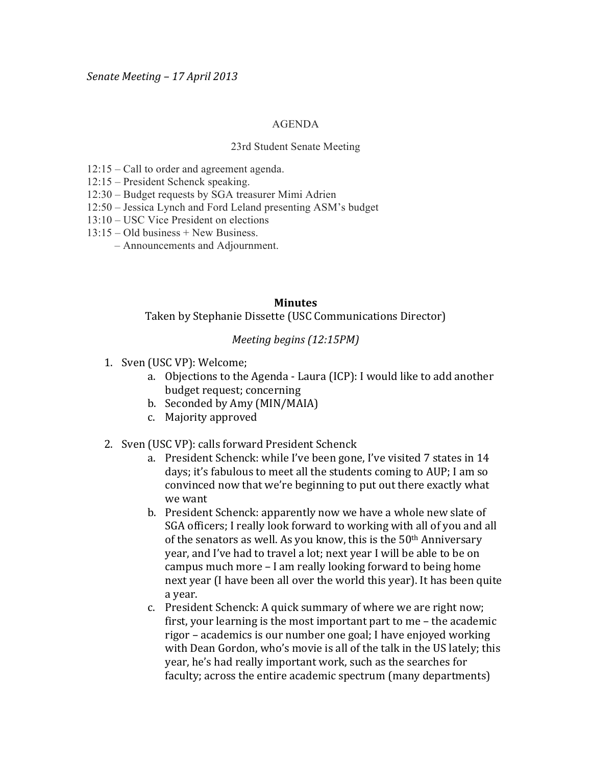## AGENDA

## 23rd Student Senate Meeting

- 12:15 Call to order and agreement agenda.
- 12:15 President Schenck speaking.
- 12:30 Budget requests by SGA treasurer Mimi Adrien
- 12:50 Jessica Lynch and Ford Leland presenting ASM's budget
- 13:10 USC Vice President on elections
- 13:15 Old business + New Business.
	- Announcements and Adjournment.

## **Minutes**

Taken by Stephanie Dissette (USC Communications Director)

## *Meeting begins (12:15PM)*

- 1. Sven (USC VP): Welcome;
	- a. Objections to the Agenda Laura (ICP): I would like to add another budget request; concerning
	- b. Seconded by Amy (MIN/MAIA)
	- c. Majority!approved
- 2. Sven (USC VP): calls forward President Schenck
	- a. President Schenck: while I've been gone, I've visited 7 states in 14 days; it's fabulous to meet all the students coming to AUP; I am so convinced now that we're beginning to put out there exactly what we want
	- b. President Schenck: apparently now we have a whole new slate of SGA officers; I really look forward to working with all of you and all of the senators as well. As you know, this is the  $50<sup>th</sup>$  Anniversary year, and I've had to travel a lot; next year I will be able to be on campus much more – I am really looking forward to being home next year (I have been all over the world this year). It has been quite a year.
	- c. President Schenck: A quick summary of where we are right now; first, your learning is the most important part to me – the academic rigor – academics is our number one goal; I have enjoyed working with Dean Gordon, who's movie is all of the talk in the US lately; this year, he's had really important work, such as the searches for faculty; across the entire academic spectrum (many departments)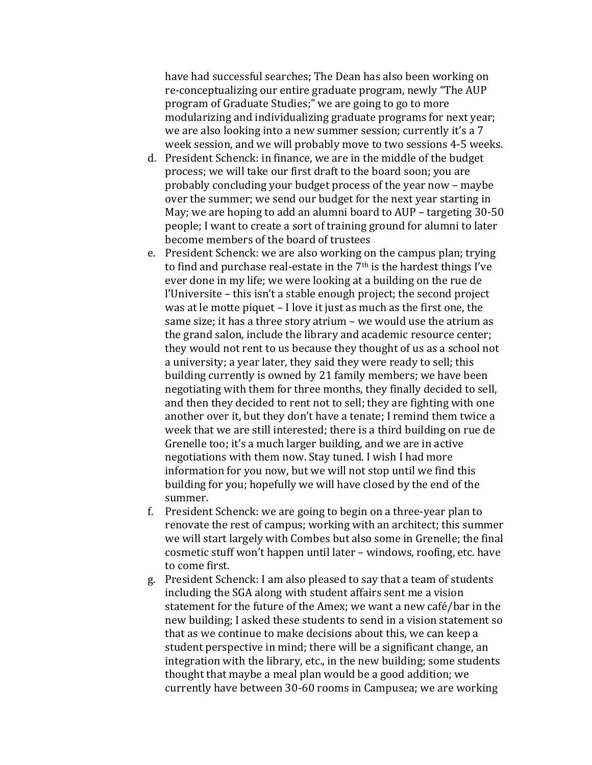have had successful searches; The Dean has also been working on re-conceptualizing our entire graduate program, newly "The AUP program of Graduate Studies;" we are going to go to more modularizing and individualizing graduate programs for next year; we are also looking into a new summer session; currently it's a 7 week session, and we will probably move to two sessions 4-5 weeks.

- d. President Schenck: in finance, we are in the middle of the budget process; we will take our first draft to the board soon; you are probably concluding your budget process of the year now – maybe over the summer; we send our budget for the next year starting in May; we are hoping to add an alumni board to AUP – targeting  $30-50$ people; I want to create a sort of training ground for alumni to later become members of the board of trustees
- e. President Schenck: we are also working on the campus plan; trying to find and purchase real-estate in the  $7<sup>th</sup>$  is the hardest things I've ever done in my life; we were looking at a building on the rue de l'Universite – this isn't a stable enough project; the second project was at le motte piquet – I love it just as much as the first one, the same size; it has a three story atrium – we would use the atrium as the grand salon, include the library and academic resource center; they would not rent to us because they thought of us as a school not a university; a year later, they said they were ready to sell; this building currently is owned by 21 family members; we have been negotiating with them for three months, they finally decided to sell, and then they decided to rent not to sell; they are fighting with one another over it, but they don't have a tenate; I remind them twice a week that we are still interested; there is a third building on rue de Grenelle too; it's a much larger building, and we are in active negotiations with them now. Stay tuned. I wish I had more information for you now, but we will not stop until we find this building for you; hopefully we will have closed by the end of the summer.
- f. President Schenck: we are going to begin on a three-year plan to renovate the rest of campus; working with an architect; this summer we will start largely with Combes but also some in Grenelle; the final cosmetic stuff won't happen until later – windows, roofing, etc. have to come first.
- g. President Schenck: I am also pleased to say that a team of students including the SGA along with student affairs sent me a vision statement for the future of the Amex; we want a new café/bar in the new building; I asked these students to send in a vision statement so that as we continue to make decisions about this, we can keep a student perspective in mind; there will be a significant change, an integration with the library, etc., in the new building; some students thought that maybe a meal plan would be a good addition; we currently have between 30-60 rooms in Campusea; we are working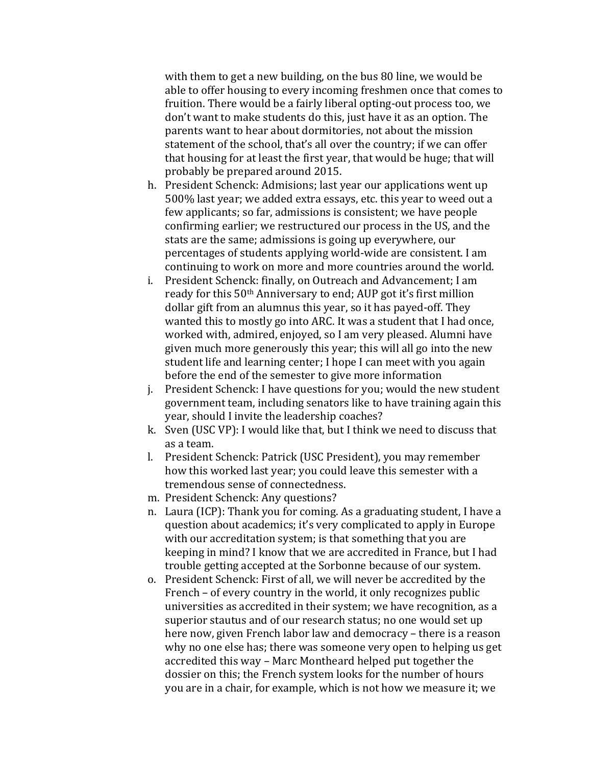with them to get a new building, on the bus 80 line, we would be able to offer housing to every incoming freshmen once that comes to fruition. There would be a fairly liberal opting-out process too, we don't want to make students do this, just have it as an option. The parents want to hear about dormitories, not about the mission statement of the school, that's all over the country; if we can offer that housing for at least the first year, that would be huge; that will probably be prepared around 2015.

- h. President Schenck: Admisions; last year our applications went up 500% last year; we added extra essays, etc. this year to weed out a few applicants; so far, admissions is consistent; we have people confirming earlier; we restructured our process in the US, and the stats are the same; admissions is going up everywhere, our percentages of students applying world-wide are consistent. I am continuing to work on more and more countries around the world.
- i. President Schenck: finally, on Outreach and Advancement; I am ready for this 50<sup>th</sup> Anniversary to end; AUP got it's first million dollar gift from an alumnus this year, so it has payed-off. They wanted this to mostly go into ARC. It was a student that I had once, worked with, admired, enjoyed, so I am very pleased. Alumni have given much more generously this year; this will all go into the new student life and learning center; I hope I can meet with you again before the end of the semester to give more information
- j. President Schenck: I have questions for you; would the new student government team, including senators like to have training again this year, should I invite the leadership coaches?
- k. Sven (USC VP): I would like that, but I think we need to discuss that as a team.
- l. President Schenck: Patrick (USC President), you may remember how this worked last year; you could leave this semester with a tremendous sense of connectedness.
- m. President Schenck: Any questions?
- n. Laura (ICP): Thank you for coming. As a graduating student, I have a question about academics; it's very complicated to apply in Europe with our accreditation system; is that something that you are keeping in mind? I know that we are accredited in France, but I had trouble getting accepted at the Sorbonne because of our system.
- o. President Schenck: First of all, we will never be accredited by the French – of every country in the world, it only recognizes public universities as accredited in their system; we have recognition, as a superior stautus and of our research status; no one would set up here now, given French labor law and democracy – there is a reason why no one else has; there was someone very open to helping us get accredited this way – Marc Montheard helped put together the dossier on this; the French system looks for the number of hours you are in a chair, for example, which is not how we measure it; we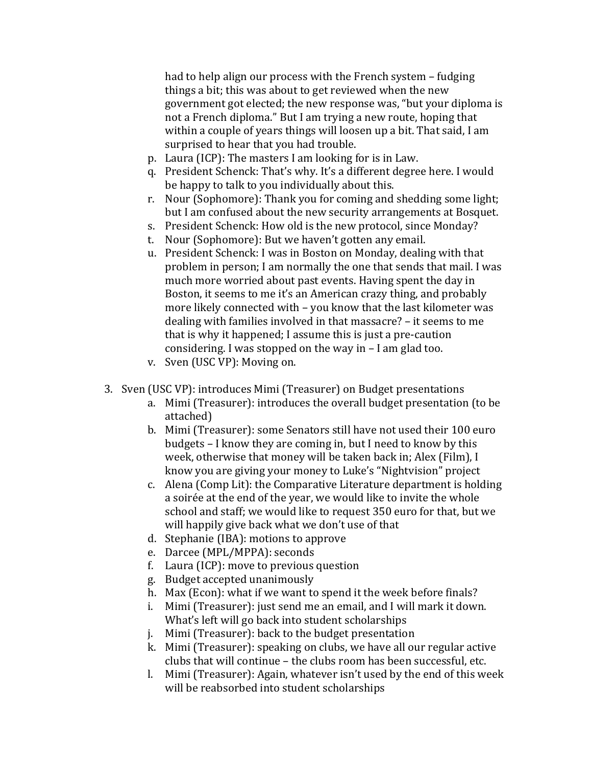had to help align our process with the French system – fudging things a bit; this was about to get reviewed when the new government got elected; the new response was, "but your diploma is not a French diploma." But I am trying a new route, hoping that within a couple of years things will loosen up a bit. That said, I am surprised to hear that you had trouble.

- p. Laura (ICP): The masters I am looking for is in Law.
- q. President Schenck: That's why. It's a different degree here. I would be happy to talk to you individually about this.
- r. Nour (Sophomore): Thank you for coming and shedding some light; but I am confused about the new security arrangements at Bosquet.
- s. President Schenck: How old is the new protocol, since Monday?
- t. Nour (Sophomore): But we haven't gotten any email.
- u. President Schenck: I was in Boston on Monday, dealing with that problem in person; I am normally the one that sends that mail. I was much more worried about past events. Having spent the day in Boston, it seems to me it's an American crazy thing, and probably more likely connected with – you know that the last kilometer was dealing with families involved in that massacre? – it seems to me that is why it happened; I assume this is just a pre-caution considering. I was stopped on the way in  $-$  I am glad too.
- v. Sven (USC VP): Moving on.
- 3. Sven (USC VP): introduces Mimi (Treasurer) on Budget presentations
	- a. Mimi (Treasurer): introduces the overall budget presentation (to be attached)
	- b. Mimi (Treasurer): some Senators still have not used their 100 euro budgets – I know they are coming in, but I need to know by this week, otherwise that money will be taken back in; Alex (Film), I know you are giving your money to Luke's "Nightvision" project
	- c. Alena (Comp Lit): the Comparative Literature department is holding a soirée at the end of the year, we would like to invite the whole school and staff; we would like to request 350 euro for that, but we will happily give back what we don't use of that
	- d. Stephanie (IBA): motions to approve
	- e. Darcee (MPL/MPPA): seconds
	- f. Laura (ICP): move to previous question
	- g. Budget accepted unanimously
	- h. Max (Econ): what if we want to spend it the week before finals?
	- i. Mimi (Treasurer): just send me an email, and I will mark it down. What's left will go back into student scholarships
	- j. Mimi (Treasurer): back to the budget presentation
	- k. Mimi (Treasurer): speaking on clubs, we have all our regular active clubs that will continue – the clubs room has been successful, etc.
	- l. Mimi (Treasurer): Again, whatever isn't used by the end of this week will be reabsorbed into student scholarships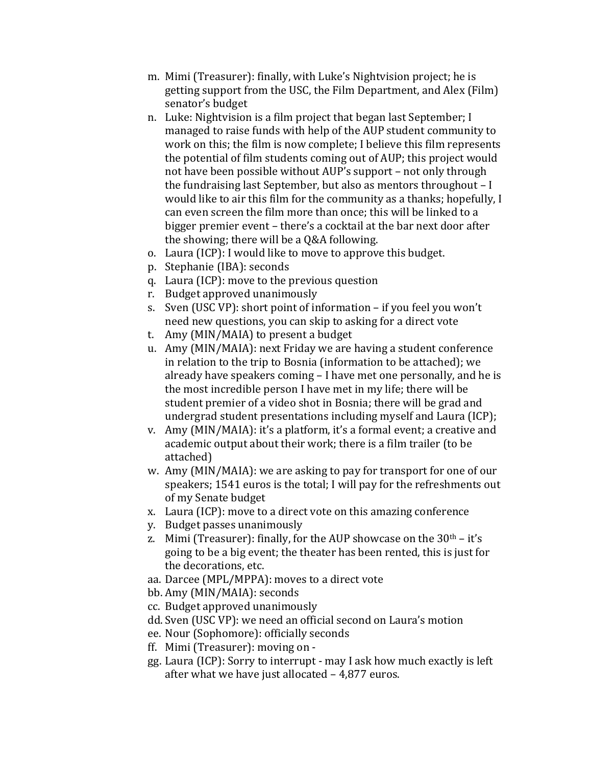- m. Mimi (Treasurer): finally, with Luke's Nightvision project; he is getting support from the USC, the Film Department, and Alex (Film) senator's budget
- n. Luke: Nightvision is a film project that began last September; I managed to raise funds with help of the AUP student community to work on this; the film is now complete; I believe this film represents the potential of film students coming out of AUP; this project would not have been possible without AUP's support – not only through the fundraising last September, but also as mentors throughout  $-I$ would like to air this film for the community as a thanks; hopefully, I can even screen the film more than once; this will be linked to a bigger premier event – there's a cocktail at the bar next door after the showing; there will be a Q&A following.
- o. Laura (ICP): I would like to move to approve this budget.
- p. Stephanie (IBA): seconds
- q. Laura (ICP): move to the previous question
- r. Budget approved unanimously
- s. Sven (USC VP): short point of information if you feel you won't need new questions, you can skip to asking for a direct vote
- t. Amy (MIN/MAIA) to present a budget
- u. Amy (MIN/MAIA): next Friday we are having a student conference in relation to the trip to Bosnia (information to be attached); we already have speakers coming – I have met one personally, and he is the most incredible person I have met in my life; there will be student premier of a video shot in Bosnia; there will be grad and undergrad student presentations including myself and Laura (ICP);
- v. Amy (MIN/MAIA): it's a platform, it's a formal event; a creative and academic output about their work; there is a film trailer (to be attached)
- w. Amy (MIN/MAIA): we are asking to pay for transport for one of our speakers: 1541 euros is the total: I will pay for the refreshments out of my Senate budget
- x. Laura (ICP): move to a direct vote on this amazing conference
- y. Budget passes unanimously
- z. Mimi (Treasurer): finally, for the AUP showcase on the  $30<sup>th</sup> it's$ going to be a big event; the theater has been rented, this is just for the decorations, etc.
- aa. Darcee (MPL/MPPA): moves to a direct vote
- bb. Amy (MIN/MAIA): seconds
- cc. Budget approved unanimously
- dd. Sven (USC VP): we need an official second on Laura's motion
- ee. Nour (Sophomore): officially seconds
- ff. Mimi (Treasurer): moving on -
- gg. Laura (ICP): Sorry to interrupt may I ask how much exactly is left after what we have just allocated  $- 4,877$  euros.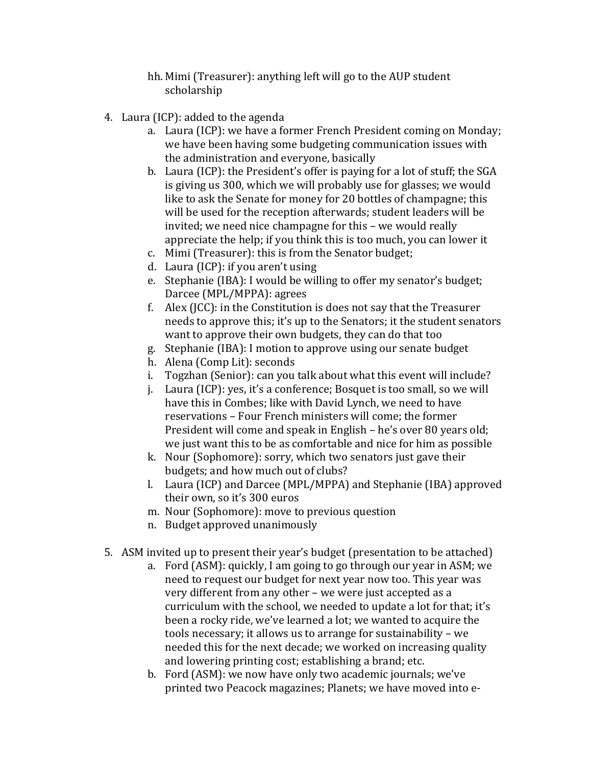- hh. Mimi (Treasurer): anything left will go to the AUP student scholarship
- 4. Laura (ICP): added to the agenda
	- a. Laura (ICP): we have a former French President coming on Monday; we have been having some budgeting communication issues with the administration and everyone, basically
	- b. Laura (ICP): the President's offer is paying for a lot of stuff; the SGA is giving us 300, which we will probably use for glasses; we would like to ask the Senate for money for 20 bottles of champagne; this will be used for the reception afterwards; student leaders will be invited; we need nice champagne for this – we would really appreciate the help; if you think this is too much, you can lower it
	- c. Mimi (Treasurer): this is from the Senator budget;
	- d. Laura (ICP): if you aren't using
	- e. Stephanie (IBA): I would be willing to offer my senator's budget; Darcee (MPL/MPPA): agrees
	- f. Alex (JCC): in the Constitution is does not say that the Treasurer needs to approve this; it's up to the Senators; it the student senators want to approve their own budgets, they can do that too
	- g. Stephanie (IBA): I motion to approve using our senate budget
	- h. Alena (Comp Lit): seconds
	- i. Togzhan (Senior): can you talk about what this event will include?
	- j. Laura (ICP): yes, it's a conference; Bosquet is too small, so we will have this in Combes; like with David Lynch, we need to have reservations – Four French ministers will come; the former President will come and speak in English – he's over 80 years old; we just want this to be as comfortable and nice for him as possible
	- k. Nour (Sophomore): sorry, which two senators just gave their budgets; and how much out of clubs?
	- l. Laura (ICP) and Darcee (MPL/MPPA) and Stephanie (IBA) approved their own, so it's 300 euros
	- m. Nour (Sophomore): move to previous question
	- n. Budget approved unanimously
- 5. ASM invited up to present their year's budget (presentation to be attached)
	- a. Ford (ASM): quickly, I am going to go through our year in ASM; we need to request our budget for next year now too. This year was very different from any other – we were just accepted as a curriculum with the school, we needed to update a lot for that; it's been a rocky ride, we've learned a lot; we wanted to acquire the tools necessary; it allows us to arrange for sustainability – we needed this for the next decade; we worked on increasing quality and lowering printing cost; establishing a brand; etc.
	- b. Ford (ASM): we now have only two academic journals; we've printed two Peacock magazines; Planets; we have moved into e-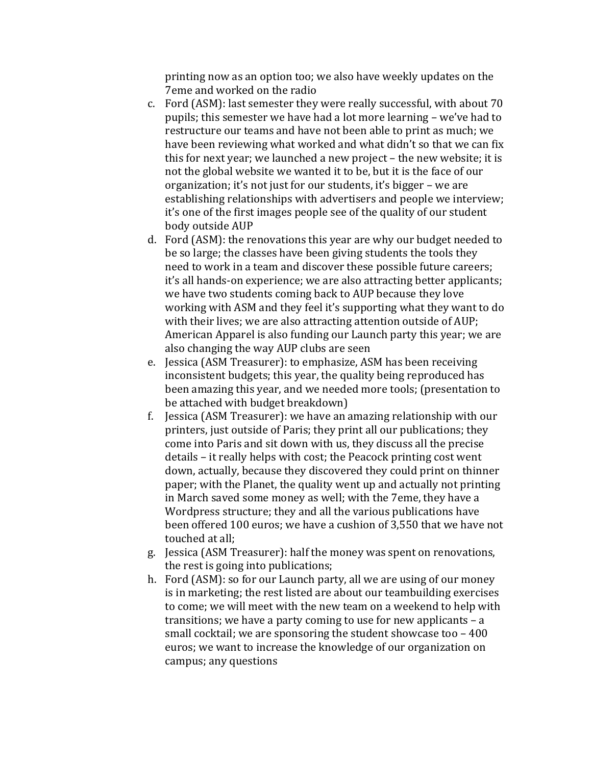printing now as an option too; we also have weekly updates on the 7eme and worked on the radio

- c. Ford (ASM): last semester they were really successful, with about 70 pupils; this semester we have had a lot more learning – we've had to restructure our teams and have not been able to print as much; we have been reviewing what worked and what didn't so that we can fix this for next year; we launched a new project – the new website; it is not the global website we wanted it to be, but it is the face of our organization; it's not just for our students, it's bigger – we are establishing relationships with advertisers and people we interview; it's one of the first images people see of the quality of our student body outside AUP
- d. Ford (ASM): the renovations this year are why our budget needed to be so large; the classes have been giving students the tools they need to work in a team and discover these possible future careers; it's all hands-on experience; we are also attracting better applicants; we have two students coming back to AUP because they love working with ASM and they feel it's supporting what they want to do with their lives; we are also attracting attention outside of AUP; American Apparel is also funding our Launch party this year; we are also changing the way AUP clubs are seen
- e. Jessica (ASM Treasurer): to emphasize. ASM has been receiving inconsistent budgets; this year, the quality being reproduced has been amazing this year, and we needed more tools; (presentation to be attached with budget breakdown)
- f. Jessica (ASM Treasurer): we have an amazing relationship with our printers, just outside of Paris; they print all our publications; they come into Paris and sit down with us, they discuss all the precise details – it really helps with cost; the Peacock printing cost went down, actually, because they discovered they could print on thinner paper; with the Planet, the quality went up and actually not printing in March saved some money as well; with the 7eme, they have a Wordpress structure; they and all the various publications have been offered 100 euros; we have a cushion of 3,550 that we have not touched at all:
- g. Jessica (ASM Treasurer): half the money was spent on renovations, the rest is going into publications;
- h. Ford (ASM): so for our Launch party, all we are using of our money is in marketing; the rest listed are about our teambuilding exercises to come; we will meet with the new team on a weekend to help with transitions; we have a party coming to use for new applicants – a small cocktail; we are sponsoring the student showcase too  $-400$ euros; we want to increase the knowledge of our organization on campus; any questions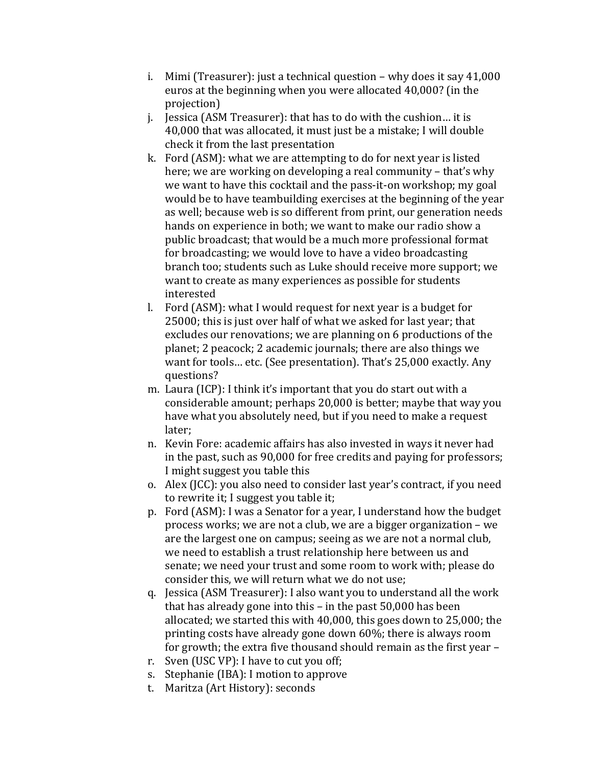- i. Mimi (Treasurer): just a technical question why does it say  $41,000$ euros at the beginning when you were allocated 40,000? (in the projection)
- j. Jessica (ASM Treasurer): that has to do with the cushion... it is 40,000 that was allocated, it must just be a mistake; I will double check it from the last presentation
- k. Ford (ASM): what we are attempting to do for next year is listed here; we are working on developing a real community – that's why we want to have this cocktail and the pass-it-on workshop; my goal would be to have teambuilding exercises at the beginning of the year as well; because web is so different from print, our generation needs hands on experience in both; we want to make our radio show a public broadcast; that would be a much more professional format for broadcasting; we would love to have a video broadcasting branch too; students such as Luke should receive more support; we want to create as many experiences as possible for students interested
- l. Ford (ASM): what I would request for next year is a budget for 25000; this is just over half of what we asked for last year; that excludes our renovations; we are planning on 6 productions of the planet; 2 peacock; 2 academic journals; there are also things we want for tools... etc. (See presentation). That's 25,000 exactly. Any questions?
- m. Laura (ICP): I think it's important that you do start out with a considerable amount; perhaps 20,000 is better; maybe that way you have what you absolutely need, but if you need to make a request later;
- n. Kevin Fore: academic affairs has also invested in ways it never had in the past, such as 90,000 for free credits and paying for professors; I might suggest you table this
- o. Alex (JCC): you also need to consider last year's contract, if you need to rewrite it; I suggest you table it;
- p. Ford (ASM): I was a Senator for a year, I understand how the budget process works; we are not a club, we are a bigger organization – we are the largest one on campus; seeing as we are not a normal club, we need to establish a trust relationship here between us and senate; we need your trust and some room to work with; please do consider this, we will return what we do not use;
- q. Jessica (ASM Treasurer): I also want you to understand all the work that has already gone into this – in the past  $50,000$  has been allocated; we started this with  $40,000$ , this goes down to  $25,000$ ; the printing costs have already gone down  $60\%$ ; there is always room for growth; the extra five thousand should remain as the first year –
- r. Sven (USC VP): I have to cut you off;
- s. Stephanie (IBA): I motion to approve
- t. Maritza (Art History): seconds